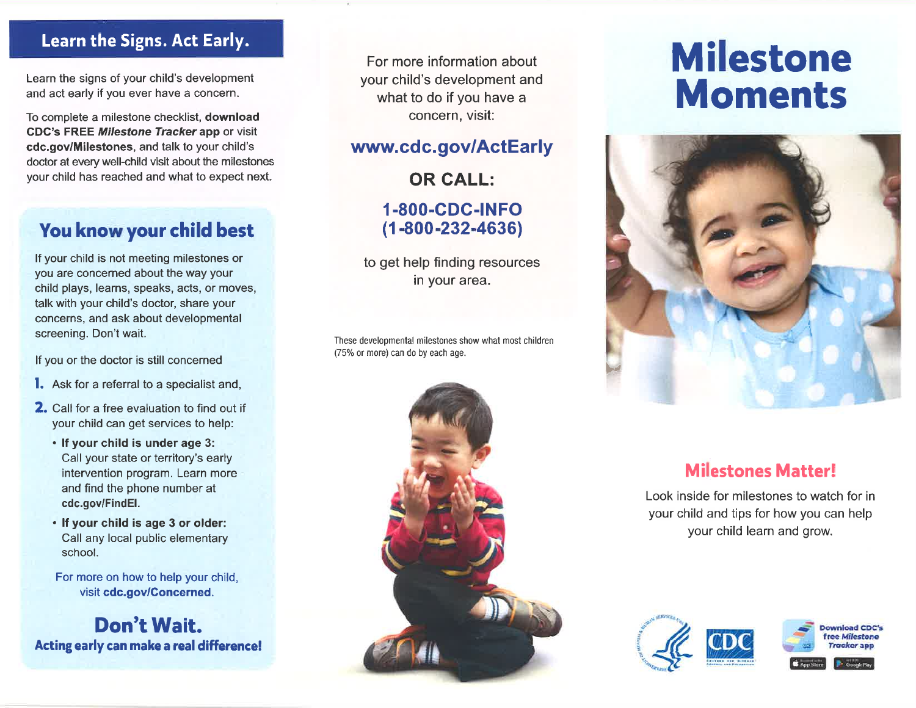#### Learn the Signs. Act Early.

Learn the signs of your child's development and act early if you ever have a concern.

To complete a milestone checklist, download GDC's FREE Milestone Tracker app or visit cdc.govlMilestones, and talk to your child's doctor at every well-child visit about the milestones your child has reached and what to expect next.

### You know your child best

lf your child is not meeting milestones or you are concerned about the way your child plays, learns, speaks, acts, or moves, talk with your child's doctor, share your concerns, and ask about developmental screening. Don't wait.

lf you or the doctor is still concerned

- **l.** Ask for a referral to a specialist and,
- 2. Call for a free evaluation to find out if your child can get services to help:
	- . lf your child is under age 3: Call your state or territory's early intervention program. Learn more and find the phone number at cdc.gov/FindEl.
	- . lf your child is age 3 or older: Call any local public elementary school.

For more on how to help your child, visit cdc.gov/Goncerned.

Don't Wait. Acting early can make a real difference!

For more information about your child's development and what to do if you have a concern, visit:

### www.cdc.gov/ActEarly

OR GALL:

1-800-cDc-tNFo (1 -800-232-4636)

to get help finding resources in your area.

These developmental milestones show what most children (75% or more) can do by each age.



# Milestone Moments



## Milestones Matter!

Look inside for milestones to watch for in your child and tips for how you can help your child learn and grow.